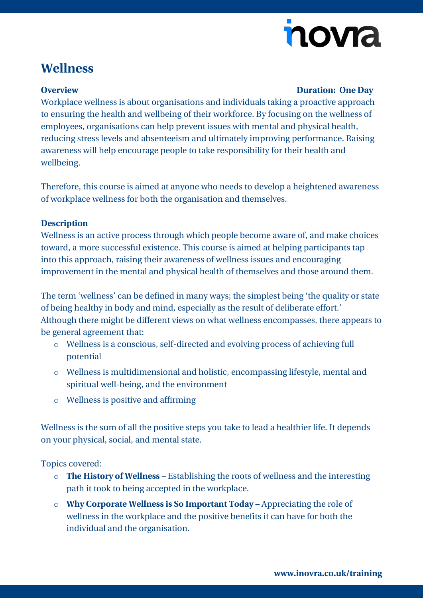# novia

### **Wellness**

#### **Overview Duration: One Day**

Workplace wellness is about organisations and individuals taking a proactive approach to ensuring the health and wellbeing of their workforce. By focusing on the wellness of employees, organisations can help prevent issues with mental and physical health, reducing stress levels and absenteeism and ultimately improving performance. Raising awareness will help encourage people to take responsibility for their health and wellbeing.

Therefore, this course is aimed at anyone who needs to develop a heightened awareness of workplace wellness for both the organisation and themselves.

#### **Description**

Wellness is an active process through which people become aware of, and make choices toward, a more successful existence. This course is aimed at helping participants tap into this approach, raising their awareness of wellness issues and encouraging improvement in the mental and physical health of themselves and those around them.

The term 'wellness' can be defined in many ways; the simplest being 'the quality or state of being healthy in body and mind, especially as the result of deliberate effort.' Although there might be different views on what wellness encompasses, there appears to be general agreement that:

- o Wellness is a conscious, self-directed and evolving process of achieving full potential
- o Wellness is multidimensional and holistic, encompassing lifestyle, mental and spiritual well-being, and the environment
- o Wellness is positive and affirming

Wellness is the sum of all the positive steps you take to lead a healthier life. It depends on your physical, social, and mental state.

Topics covered:

- o **The History of Wellness** Establishing the roots of wellness and the interesting path it took to being accepted in the workplace.
- o **Why Corporate Wellness is So Important Today** Appreciating the role of wellness in the workplace and the positive benefits it can have for both the individual and the organisation.